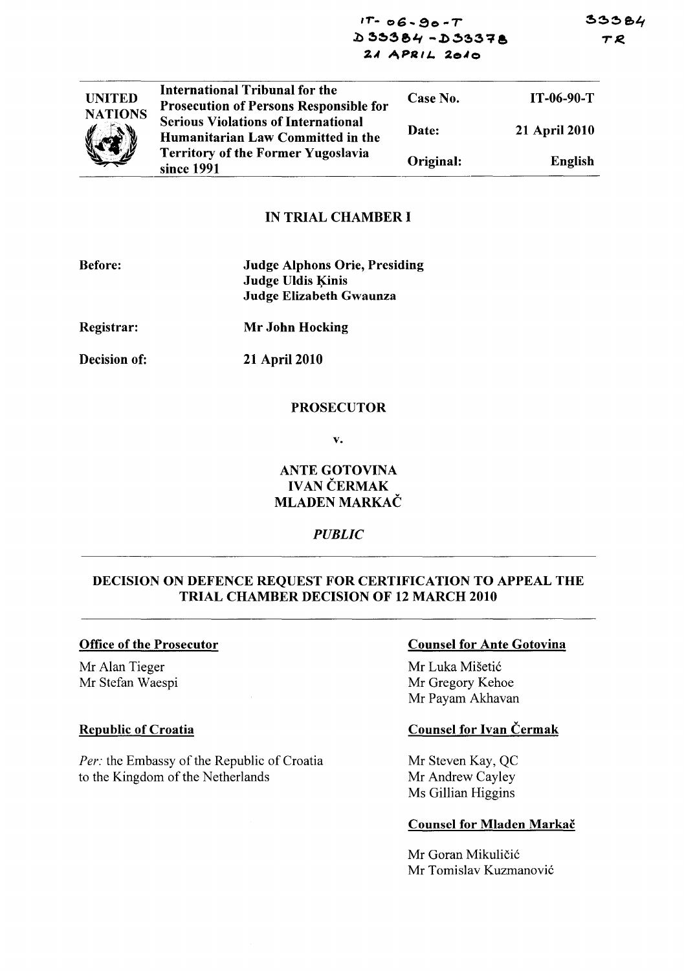33384 TR

 $1T - 06 - 90 - T$  $D 33384 - D 33378$  $2A$  APRIL. 2010

| <b>UNITED</b><br><b>NATIONS</b><br>$\mathbb{Z}$ | International Tribunal for the<br><b>Prosecution of Persons Responsible for</b> | Case No.  | IT-06-90-T           |
|-------------------------------------------------|---------------------------------------------------------------------------------|-----------|----------------------|
|                                                 | <b>Serious Violations of International</b><br>Humanitarian Law Committed in the | Date:     | <b>21 April 2010</b> |
|                                                 | <b>Territory of the Former Yugoslavia</b><br>since 1991                         | Original: | English              |

## IN TRIAL CHAMBER I

| <b>Before:</b>      | <b>Judge Alphons Orie, Presiding</b><br><b>Judge Uldis Kinis</b><br><b>Judge Elizabeth Gwaunza</b> |
|---------------------|----------------------------------------------------------------------------------------------------|
| Registrar:          | <b>Mr John Hocking</b>                                                                             |
| <b>Decision of:</b> | <b>21 April 2010</b>                                                                               |

#### PROSECUTOR

v.

# ANTE GOTOVINA **IVAN ČERMAK** MLADEN MARKAC

### *PUBLIC*

# DECISION ON DEFENCE REQUEST FOR CERTIFICATION TO APPEAL THE TRIAL CHAMBER DECISION OF 12 MARCH 2010

#### Office of the Prosecutor

Mr Alan Tieger Mr Stefan Waespi

### Republic of Croatia

*Per:* the Embassy of the Republic of Croatia to the Kingdom of the Netherlands

### Counsel for Ante Gotovina

Mr Luka Mišetić Mr Gregory Kehoe Mr Payam Akhavan

# Counsel for Ivan Cermak

Mr Steven Kay, QC Mr Andrew Cayley Ms Gillian Higgins

### Counsel for Mladen Markač

Mr Goran Mikuličić Mr Tomislav Kuzmanovi6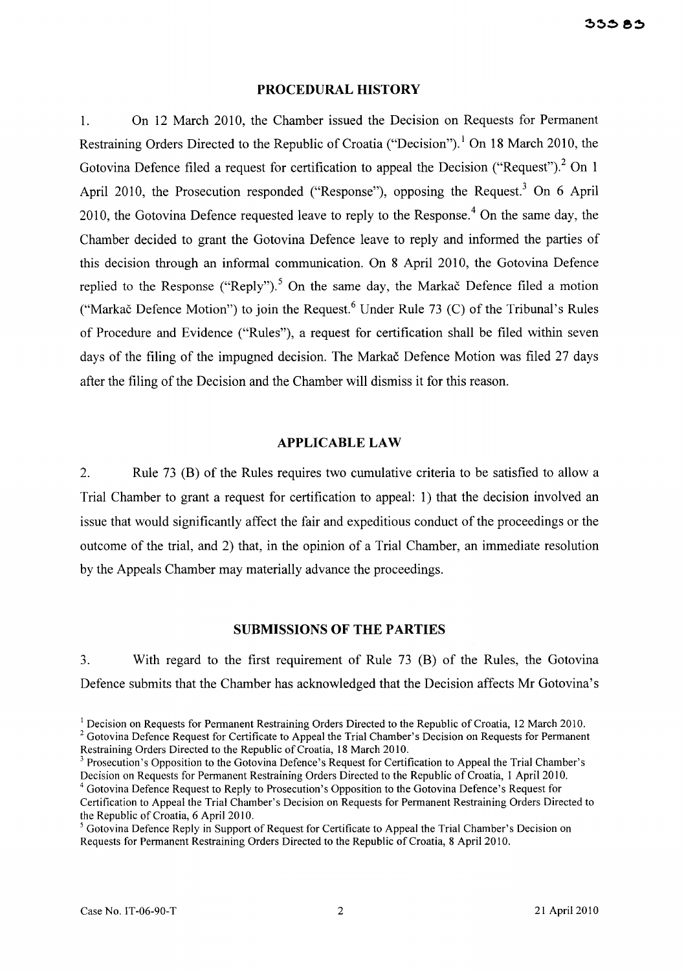### **PROCEDURAL HISTORY**

1. On 12 March 2010, the Chamber issued the Decision on Requests for Permanent Restraining Orders Directed to the Republic of Croatia ("Decision").<sup>1</sup> On 18 March 2010, the Gotovina Defence filed a request for certification to appeal the Decision ("Request").<sup>2</sup> On 1 April 2010, the Prosecution responded ("Response"), opposing the Request.<sup>3</sup> On 6 April 2010, the Gotovina Defence requested leave to reply to the Response.<sup>4</sup> On the same day, the Chamber decided to grant the Gotovina Defence leave to reply and informed the parties of this decision through an informal communication. On 8 April 2010, the Gotovina Defence replied to the Response ("Reply").<sup>5</sup> On the same day, the Markac Defence filed a motion ("Markač Defence Motion") to join the Request.<sup>6</sup> Under Rule 73 (C) of the Tribunal's Rules of Procedure and Evidence ("Rules"), a request for certification shall be filed within seven days of the filing of the impugned decision. The Markac Defence Motion was filed 27 days after the filing of the Decision and the Chamber will dismiss it for this reason.

### **APPLICABLE LAW**

2. Rule 73 (B) of the Rules requires two cumulative criteria to be satisfied to allow a Trial Chamber to grant a request for certification to appeal: 1) that the decision involved an issue that would significantly affect the fair and expeditious conduct of the proceedings or the outcome of the trial, and 2) that, in the opinion of a Trial Chamber, an immediate resolution by the Appeals Chamber may materially advance the proceedings.

## **SUBMISSIONS OF THE PARTIES**

3. With regard to the first requirement of Rule 73 (B) of the Rules, the Gotovina Defence submits that the Chamber has acknowledged that the Decision affects Mr Gotovina's

<sup>&</sup>lt;sup>1</sup> Decision on Requests for Permanent Restraining Orders Directed to the Republic of Croatia, 12 March 2010. <sup>2</sup> Gotovina Defence Request for Certificate to Appeal the Trial Chamber's Decision on Requests for Permanent Restraining Orders Directed to the Republic of Croatia, 18 March 2010.

<sup>&</sup>lt;sup>3</sup> Prosecution's Opposition to the Gotovina Defence's Request for Certification to Appeal the Trial Chamber's Decision on Requests for Permanent Restraining Orders Directed to the Republic of Croatia, 1 April 2010. <sup>4</sup> Gotovina Defence Request to Reply to Prosecution's Opposition to the Gotovina Defence's Request for

Certification to Appeal the Trial Chamber's Decision on Requests for Permanent Restraining Orders Directed to the Republic of Croatia, 6 April 2010.

<sup>&</sup>lt;sup>5</sup> Gotovina Defence Reply in Support of Request for Certificate to Appeal the Trial Chamber's Decision on Requests for Permanent Restraining Orders Directed to the Republic of Croatia, 8 April 2010.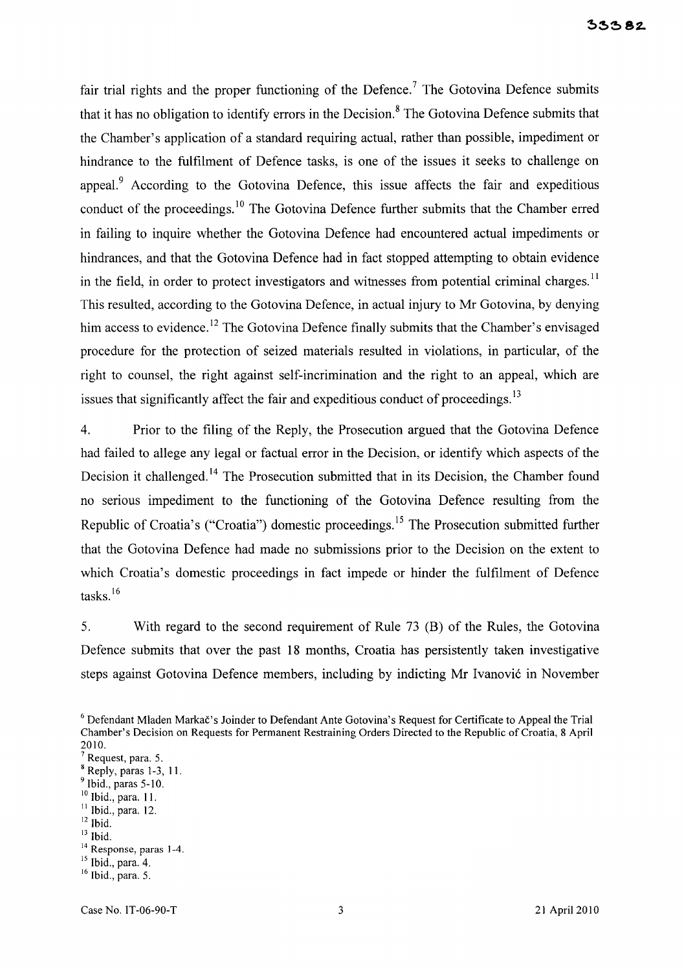fair trial rights and the proper functioning of the Defence.<sup>7</sup> The Gotovina Defence submits that it has no obligation to identify errors in the Decision. 8 The Gotovina Defence submits that the Chamber's application of a standard requiring actual, rather than possible, impediment or hindrance to the fulfilment of Defence tasks, is one of the issues it seeks to challenge on appeal.<sup>9</sup> According to the Gotovina Defence, this issue affects the fair and expeditious conduct of the proceedings.<sup>10</sup> The Gotovina Defence further submits that the Chamber erred in failing to inquire whether the Gotovina Defence had encountered actual impediments or hindrances, and that the Gotovina Defence had in fact stopped attempting to obtain evidence in the field, in order to protect investigators and witnesses from potential criminal charges.<sup>11</sup> This resulted, according to the Gotovina Defence, in actual injury to Mr Gotovina, by denying him access to evidence.<sup>12</sup> The Gotovina Defence finally submits that the Chamber's envisaged procedure for the protection of seized materials resulted in violations, in particular, of the right to counsel, the right against self-incrimination and the right to an appeal, which are issues that significantly affect the fair and expeditious conduct of proceedings.<sup>13</sup>

4. Prior to the filing of the Reply, the Prosecution argued that the Gotovina Defence had failed to allege any legal or factual error in the Decision, or identify which aspects of the Decision it challenged.<sup>14</sup> The Prosecution submitted that in its Decision, the Chamber found no serious impediment to the functioning of the Gotovina Defence resulting from the Republic of Croatia's ("Croatia") domestic proceedings.<sup>15</sup> The Prosecution submitted further that the Gotovina Defence had made no submissions prior to the Decision on the extent to which Croatia's domestic proceedings in fact impede or hinder the fulfilment of Defence tasks.<sup>16</sup>

5. With regard to the second requirement of Rule 73 (B) of the Rules, the Gotovina Defence submits that over the past 18 months, Croatia has persistently taken investigative steps against Gotovina Defence members, including by indicting Mr Ivanović in November

Request, para. 5.

- <sup>10</sup> Ibid., para. 11.
- $<sup>11</sup>$  Ibid., para. 12.</sup>
- $12$  Ibid.
- $13$  Ibid.

<sup>&</sup>lt;sup>6</sup> Defendant Mladen Markač's Joinder to Defendant Ante Gotovina's Request for Certificate to Appeal the Trial Chamber's Decision on Requests for Permanent Restraining Orders Directed to the Republic of Croatia, 8 April 2010.

 $8$  Reply, paras 1-3, 11.

Ibid., paras 5-10.

<sup>&</sup>lt;sup>14</sup> Response, paras 1-4.

 $<sup>15</sup>$  Ibid., para. 4.</sup>

<sup>16</sup> Ibid., para. 5.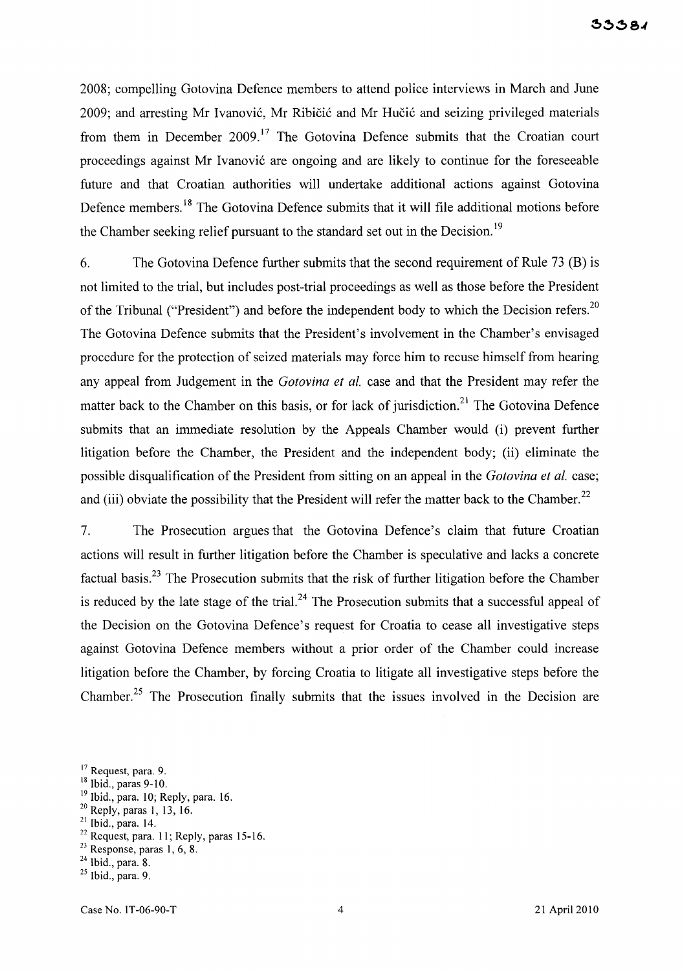2008; compelling Gotovina Defence members to attend police interviews in March and June 2009; and arresting Mr Ivanović, Mr Ribičić and Mr Hučić and seizing privileged materials from them in December  $2009$ .<sup>17</sup> The Gotovina Defence submits that the Croatian court proceedings against Mr Ivanovi6 are ongoing and are likely to continue for the foreseeable future and that Croatian authorities will undertake additional actions against Gotovina Defence members.<sup>18</sup> The Gotovina Defence submits that it will file additional motions before the Chamber seeking relief pursuant to the standard set out in the Decision.<sup>19</sup>

6. The Gotovina Defence further submits that the second requirement of Rule 73 (B) is not limited to the trial, but includes post-trial proceedings as well as those before the President of the Tribunal ("President") and before the independent body to which the Decision refers.<sup>20</sup> The Gotovina Defence submits that the President's involvement in the Chamber's envisaged procedure for the protection of seized materials may force him to recuse himself from hearing any appeal from Judgement in the *Gotovina et al.* case and that the President may refer the matter back to the Chamber on this basis, or for lack of jurisdiction.<sup>21</sup> The Gotovina Defence submits that an immediate resolution by the Appeals Chamber would (i) prevent further litigation before the Chamber, the President and the independent body; (ii) eliminate the possible disqualification of the President from sitting on an appeal in the *Gotovina et al.* case; and (iii) obviate the possibility that the President will refer the matter back to the Chamber.<sup>22</sup>

7. The Prosecution argues that the Gotovina Defence's claim that future Croatian actions will result in further litigation before the Chamber is speculative and lacks a concrete factual basis.<sup>23</sup> The Prosecution submits that the risk of further litigation before the Chamber is reduced by the late stage of the trial.<sup>24</sup> The Prosecution submits that a successful appeal of the Decision on the Gotovina Defence's request for Croatia to cease all investigative steps against Gotovina Defence members without a prior order of the Chamber could increase litigation before the Chamber, by forcing Croatia to litigate all investigative steps before the Chamber.<sup>25</sup> The Prosecution finally submits that the issues involved in the Decision are

- <sup>19</sup> Ibid., para. 10; Reply, para. 16.
- 20 Reply, paras 1, 13, 16.
- 21 Ibid., para. 14.
- $22$  Request, para. 11; Reply, paras 15-16.
- $23$  Response, paras 1, 6, 8.
- $24$  Ibid., para. 8.
- $25$  Ibid., para. 9.

<sup>&</sup>lt;sup>17</sup> Request, para. 9.

<sup>18</sup> Ibid., paras 9-10.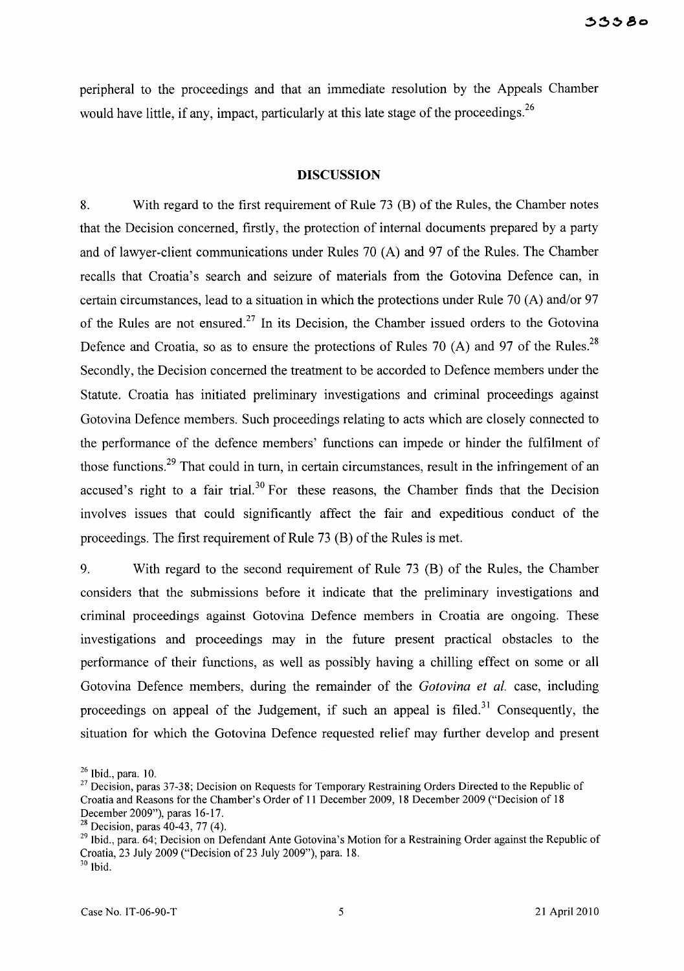peripheral to the proceedings and that an immediate resolution by the Appeals Chamber would have little, if any, impact, particularly at this late stage of the proceedings.<sup>26</sup>

#### **DISCUSSION**

8. With regard to the first requirement of Rule 73 (B) of the Rules, the Chamber notes that the Decision concerned, firstly, the protection of internal documents prepared by a party and of lawyer-client communications under Rules 70 (A) and 97 of the Rules. The Chamber recalls that Croatia's search and seizure of materials from the Gotovina Defence can, in certain circumstances, lead to a situation in which the protections under Rule 70 (A) and/or 97 of the Rules are not ensured. <sup>27</sup>**In** its Decision, the Chamber issued orders to the Gotovina Defence and Croatia, so as to ensure the protections of Rules 70 (A) and 97 of the Rules.<sup>28</sup> Secondly, the Decision concerned the treatment to be accorded to Defence members under the Statute. Croatia has initiated preliminary investigations and criminal proceedings against Gotovina Defence members. Such proceedings relating to acts which are closely connected to the performance of the defence members' functions can impede or hinder the fulfilment of those functions.<sup>29</sup> That could in turn, in certain circumstances, result in the infringement of an accused's right to a fair trial.<sup>30</sup> For these reasons, the Chamber finds that the Decision involves issues that could significantly affect the fair and expeditious conduct of the proceedings. The first requirement of Rule 73 (B) of the Rules is met.

9. With regard to the second requirement of Rule 73 (B) of the Rules, the Chamber considers that the submissions before it indicate that the preliminary investigations and criminal proceedings against Gotovina Defence members in Croatia are ongoing. These investigations and proceedings may in the future present practical obstacles to the performance of their functions, as well as possibly having a chilling effect on some or all Gotovina Defence members, during the remainder of the *Gotovina et al.* case, including proceedings on appeal of the Judgement, if such an appeal is filed.<sup>31</sup> Consequently, the situation for which the Gotovina Defence requested relief may further develop and present

 $26$  Ibid., para. 10.

<sup>&</sup>lt;sup>27</sup> Decision, paras 37-38; Decision on Requests for Temporary Restraining Orders Directed to the Republic of Croatia and Reasons for the Chamber's Order of 11 December 2009, 18 December 2009 ("Decision of 18 December 2009"), paras 16-17.

<sup>&</sup>lt;sup>28</sup> Decision, paras  $40-43$ , 77 (4).

<sup>&</sup>lt;sup>29</sup> Ibid., para. 64; Decision on Defendant Ante Gotovina's Motion for a Restraining Order against the Republic of Croatia, 23 July 2009 ("Decision of23 July 2009"), para. 18. 30 Ibid.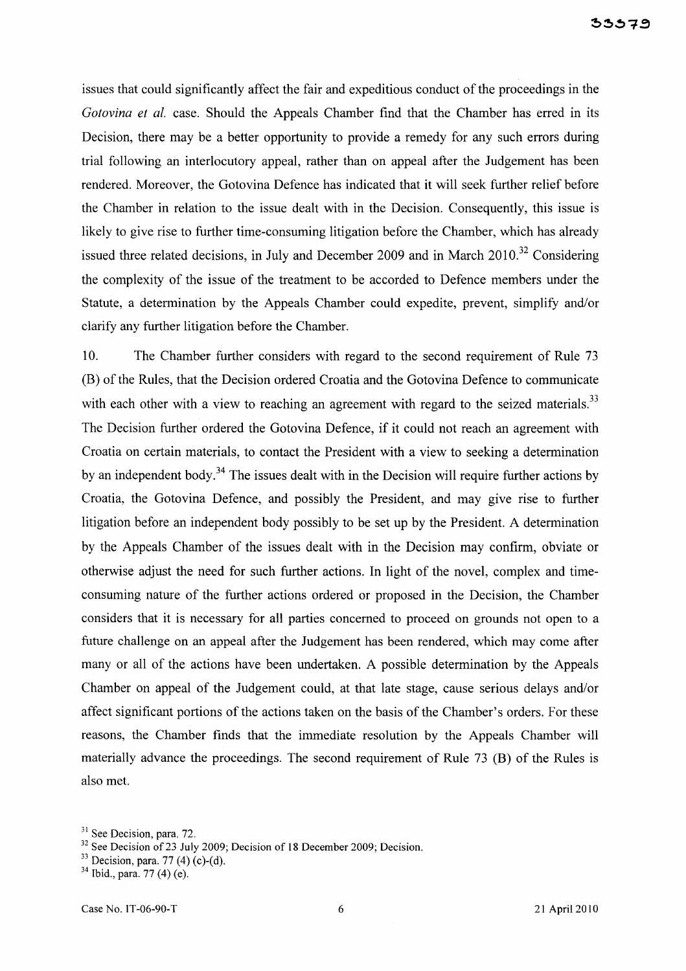issues that could significantly affect the fair and expeditious conduct of the proceedings in the *Gotovina et al.* case. Should the Appeals Chamber find that the Chamber has erred in its Decision, there may be a better opportunity to provide a remedy for any such errors during trial following an interlocutory appeal, rather than on appeal after the Judgement has been rendered. Moreover, the Gotovina Defence has indicated that it will seek further relief before the Chamber in relation to the issue dealt with in the Decision. Consequently, this issue is likely to give rise to further time-consuming litigation before the Chamber, which has already issued three related decisions, in July and December 2009 and in March  $2010$ <sup>32</sup> Considering the complexity of the issue of the treatment to be accorded to Defence members under the Statute, a determination by the Appeals Chamber could expedite, prevent, simplify and/or clarify any further litigation before the Chamber.

lO. The Chamber further considers with regard to the second requirement of Rule 73 (B) of the Rules, that the Decision ordered Croatia and the Gotovina Defence to communicate with each other with a view to reaching an agreement with regard to the seized materials.<sup>33</sup> The Decision further ordered the Gotovina Defence, if it could not reach an agreement with Croatia on certain materials, to contact the President with a view to seeking a determination by an independent body.<sup>34</sup> The issues dealt with in the Decision will require further actions by Croatia, the Gotovina Defence, and possibly the President, and may give rise to further litigation before an independent body possibly to be set up by the President. A determination by the Appeals Chamber of the issues dealt with in the Decision may confirm, obviate or otherwise adjust the need for such further actions. In light of the novel, complex and timeconsuming nature of the further actions ordered or proposed in the Decision, the Chamber considers that it is necessary for all parties concerned to proceed on grounds not open to a future challenge on an appeal after the Judgement has been rendered, which may come after many or all of the actions have been undertaken. A possible determination by the Appeals Chamber on appeal of the Judgement could, at that late stage, cause serious delays and/or affect significant portions of the actions taken on the basis of the Chamber's orders. For these reasons, the Chamber finds that the immediate resolution by the Appeals Chamber will materially advance the proceedings. The second requirement of Rule 73 (B) of the Rules is also met.

<sup>&</sup>lt;sup>31</sup> See Decision, para. 72.

 $32$  See Decision of 23 July 2009; Decision of 18 December 2009; Decision.

<sup>&</sup>lt;sup>33</sup> Decision, para. 77 (4) (c)-(d).

 $34$  Ibid., para. 77 (4) (e).